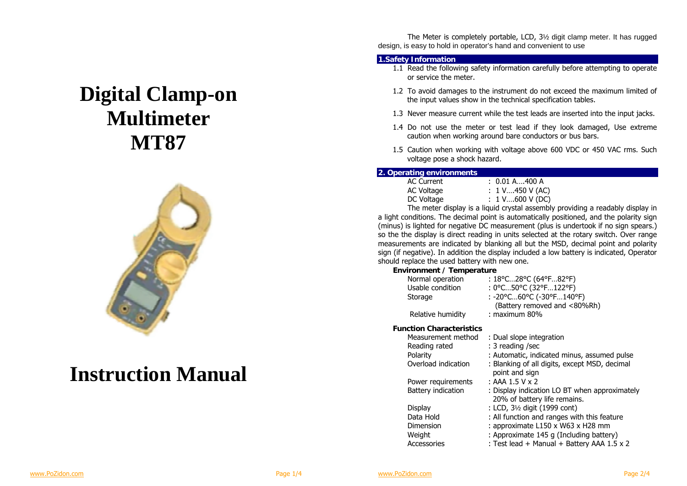# **Digital Clamp-on Multimeter MT87**



## **Instruction Manual**

 The Meter is completely portable, LCD, 3½ digit clamp meter. It has rugged design, is easy to hold in operator's hand and convenient to use

#### **1.Safety Information**

- 1.1 Read the following safety information carefully before attempting to operate or service the meter.
- 1.2 To avoid damages to the instrument do not exceed the maximum limited of the input values show in the technical specification tables.
- 1.3 Never measure current while the test leads are inserted into the input jacks.
- 1.4 Do not use the meter or test lead if they look damaged, Use extreme caution when working around bare conductors or bus bars.
- 1.5 Caution when working with voltage above 600 VDC or 450 VAC rms. Such voltage pose a shock hazard.

#### **2. Operating environments**

| AC Current | : 0.01 A.…400 A                          |
|------------|------------------------------------------|
| AC Voltage | : 1 V450 V (AC)                          |
| DC Voltage | : $1 \text{ V} \dots 600 \text{ V}$ (DC) |

 The meter display is a liquid crystal assembly providing a readably display in a light conditions. The decimal point is automatically positioned, and the polarity sign (minus) is lighted for negative DC measurement (plus is undertook if no sign spears.) so the the display is direct reading in units selected at the rotary switch. Over range measurements are indicated by blanking all but the MSD, decimal point and polarity sign (if negative). In addition the display included a low battery is indicated, Operator should replace the used battery with new one.

### **Environment / Temperature**

| Normal operation                | : 18°C28°C (64°F82°F)                         |
|---------------------------------|-----------------------------------------------|
| Usable condition                | : 0°C50°C (32°F122°F)                         |
| Storage                         | : -20°C60°C (-30°F140°F)                      |
|                                 | (Battery removed and <80%Rh)                  |
| Relative humidity               | $:$ maximum 80%                               |
| <b>Function Characteristics</b> |                                               |
| Measurement method              | : Dual slope integration                      |
| Reading rated                   | : 3 reading /sec                              |
| Polarity                        | : Automatic, indicated minus, assumed pulse   |
| Overload indication             | : Blanking of all digits, except MSD, decimal |
|                                 | point and sign                                |
| Power requirements              | : AAA $1.5$ V x 2                             |
| Battery indication              | : Display indication LO BT when approximatel  |

- 
- bximately 20% of battery life remains.
- Display : LCD, 3½ digit (1999 cont)
- Data Hold : All function and ranges with this feature
- Dimension : approximate L150 x W63 x H28 mm
- Weight : Approximate 145 g (Including battery)
- Accessories : Test lead + Manual + Battery AAA 1.5 x 2